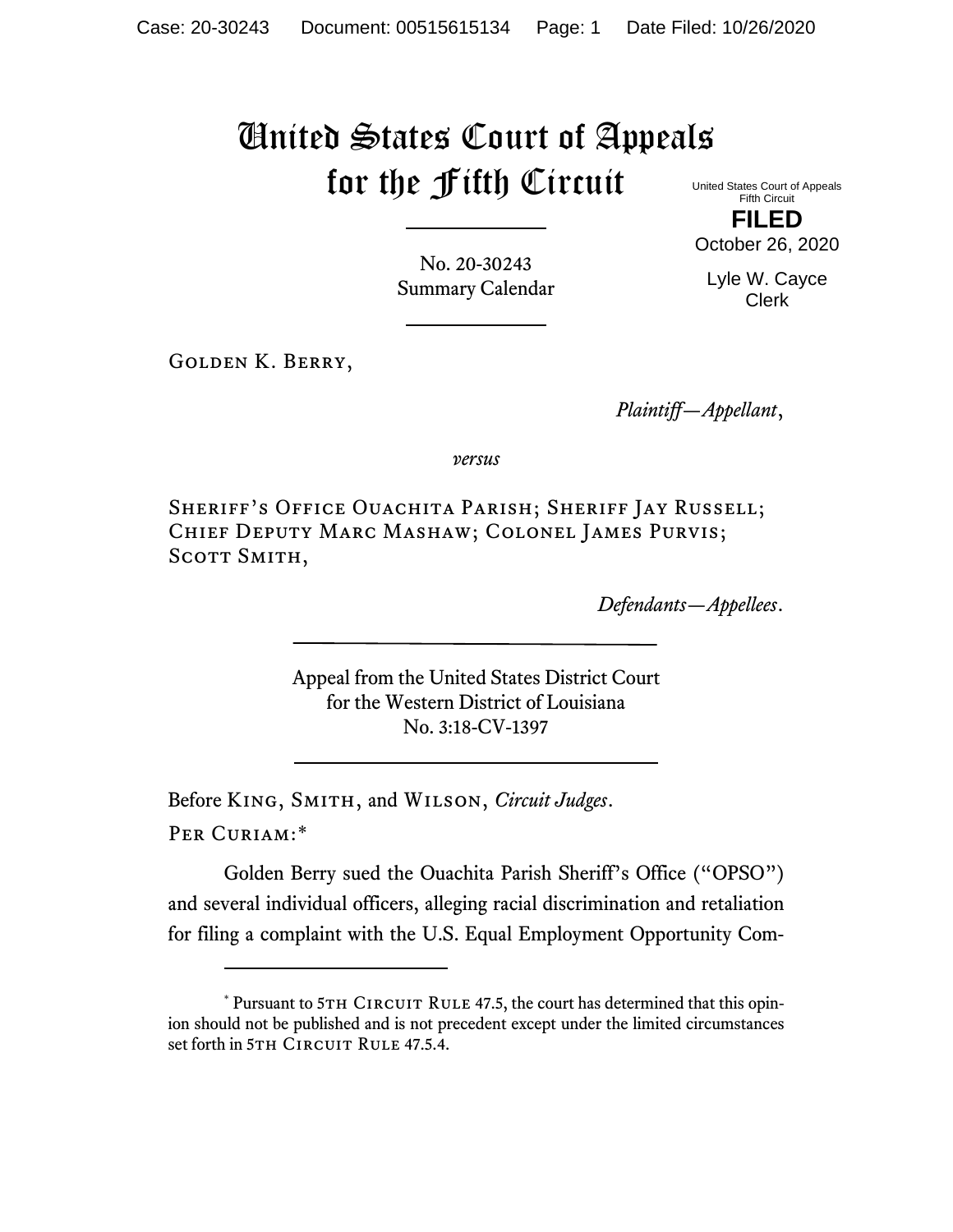# United States Court of Appeals for the Fifth Circuit United States Court of Appeals

Fifth Circuit **FILED**

No. 20-30243 Summary Calendar

Golden K. Berry,

*Plaintiff—Appellant*,

*versus*

Sheriff's Office Ouachita Parish; Sheriff Jay Russell; Chief Deputy Marc Mashaw; Colonel James Purvis; SCOTT SMITH,

*Defendants—Appellees*.

Appeal from the United States District Court for the Western District of Louisiana No. 3:18-CV-1397

Before King, Smith, and Wilson, *Circuit Judges*.

Per Curiam:[\\*](#page-0-0)

Golden Berry sued the Ouachita Parish Sheriff's Office ("OPSO") and several individual officers, alleging racial discrimination and retaliation for filing a complaint with the U.S. Equal Employment Opportunity Com-

October 26, 2020

Lyle W. Cayce Clerk

<span id="page-0-0"></span> $*$  Pursuant to 5TH CIRCUIT RULE 47.5, the court has determined that this opinion should not be published and is not precedent except under the limited circumstances set forth in 5TH CIRCUIT RULE 47.5.4.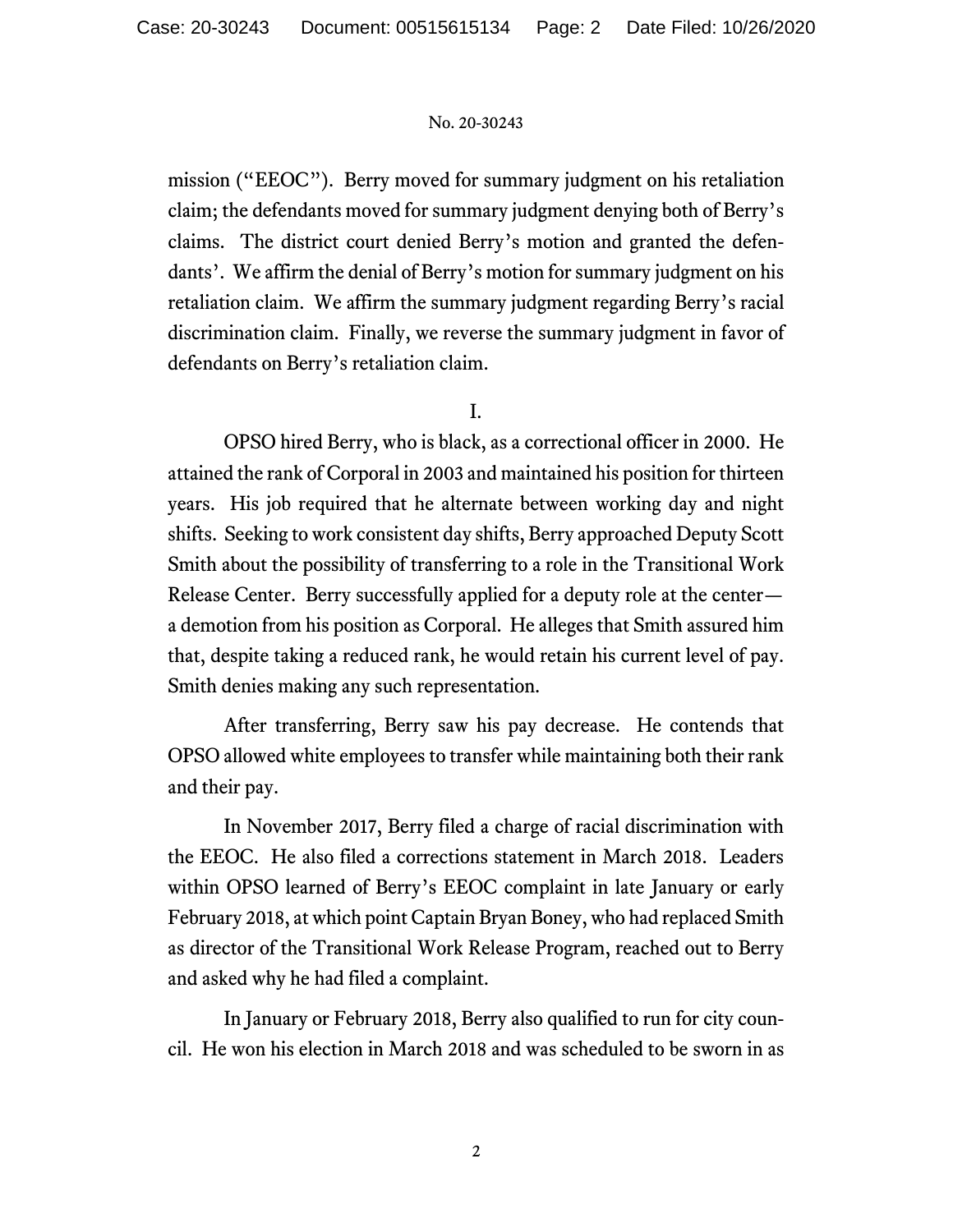mission ("EEOC"). Berry moved for summary judgment on his retaliation claim; the defendants moved for summary judgment denying both of Berry's claims. The district court denied Berry's motion and granted the defendants'. We affirm the denial of Berry's motion for summary judgment on his retaliation claim. We affirm the summary judgment regarding Berry's racial discrimination claim. Finally, we reverse the summary judgment in favor of defendants on Berry's retaliation claim.

I.

OPSO hired Berry, who is black, as a correctional officer in 2000. He attained the rank of Corporal in 2003 and maintained his position for thirteen years. His job required that he alternate between working day and night shifts. Seeking to work consistent day shifts, Berry approached Deputy Scott Smith about the possibility of transferring to a role in the Transitional Work Release Center. Berry successfully applied for a deputy role at the center a demotion from his position as Corporal. He alleges that Smith assured him that, despite taking a reduced rank, he would retain his current level of pay. Smith denies making any such representation.

After transferring, Berry saw his pay decrease. He contends that OPSO allowed white employees to transfer while maintaining both their rank and their pay.

In November 2017, Berry filed a charge of racial discrimination with the EEOC. He also filed a corrections statement in March 2018. Leaders within OPSO learned of Berry's EEOC complaint in late January or early February 2018, at which point Captain Bryan Boney, who had replaced Smith as director of the Transitional Work Release Program, reached out to Berry and asked why he had filed a complaint.

In January or February 2018, Berry also qualified to run for city council. He won his election in March 2018 and was scheduled to be sworn in as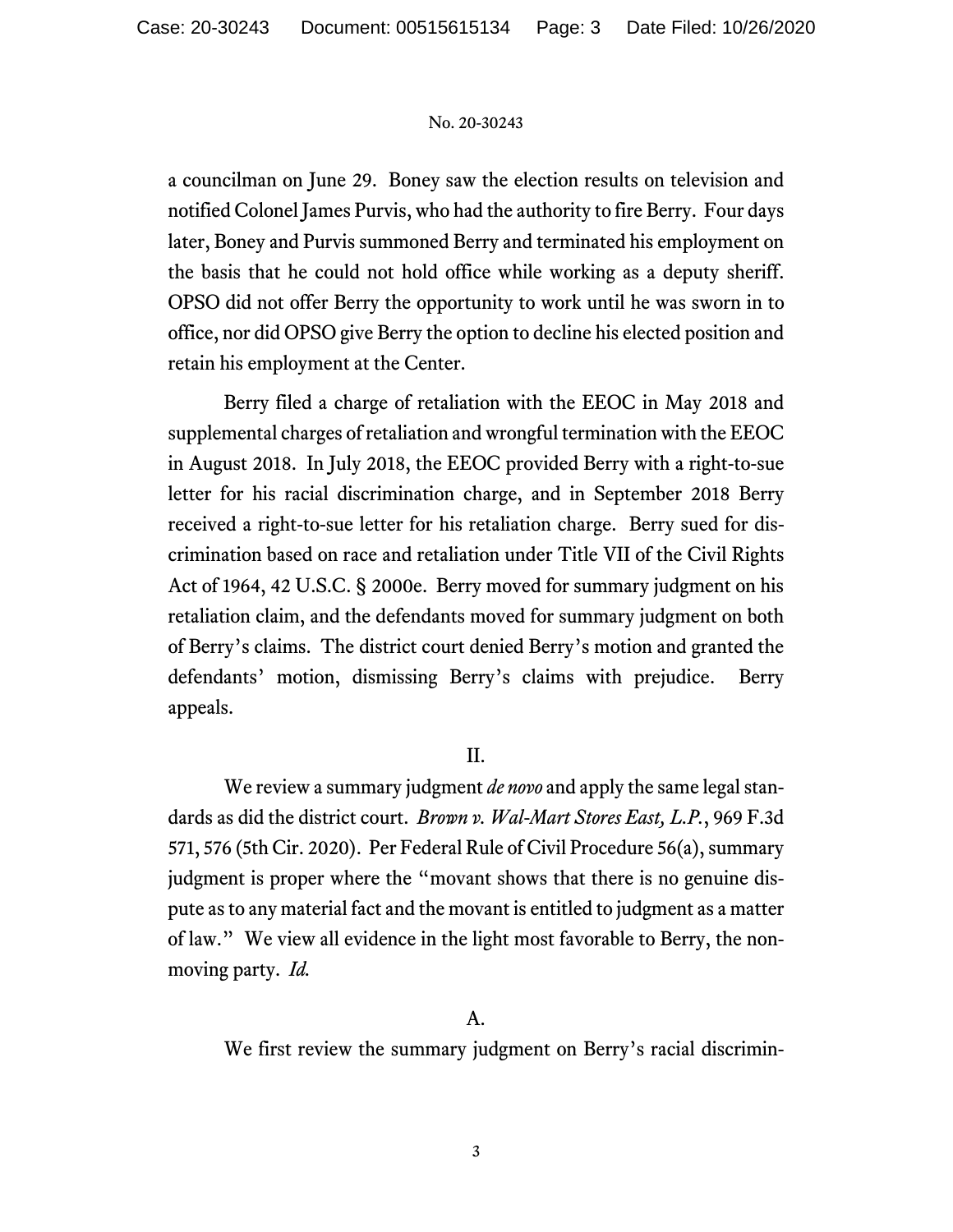a councilman on June 29. Boney saw the election results on television and notified Colonel James Purvis, who had the authority to fire Berry. Four days later, Boney and Purvis summoned Berry and terminated his employment on the basis that he could not hold office while working as a deputy sheriff. OPSO did not offer Berry the opportunity to work until he was sworn in to office, nor did OPSO give Berry the option to decline his elected position and retain his employment at the Center.

Berry filed a charge of retaliation with the EEOC in May 2018 and supplemental charges of retaliation and wrongful termination with the EEOC in August 2018. In July 2018, the EEOC provided Berry with a right-to-sue letter for his racial discrimination charge, and in September 2018 Berry received a right-to-sue letter for his retaliation charge. Berry sued for discrimination based on race and retaliation under Title VII of the Civil Rights Act of 1964, 42 U.S.C. § 2000e. Berry moved for summary judgment on his retaliation claim, and the defendants moved for summary judgment on both of Berry's claims. The district court denied Berry's motion and granted the defendants' motion, dismissing Berry's claims with prejudice. Berry appeals.

# II.

We review a summary judgment *de novo* and apply the same legal standards as did the district court. *Brown v. Wal-Mart Stores East, L.P.*, 969 F.3d 571, 576 (5th Cir. 2020). Per Federal Rule of Civil Procedure 56(a), summary judgment is proper where the "movant shows that there is no genuine dispute as to any material fact and the movant is entitled to judgment as a matter of law." We view all evidence in the light most favorable to Berry, the nonmoving party. *Id.*

# A.

We first review the summary judgment on Berry's racial discrimin-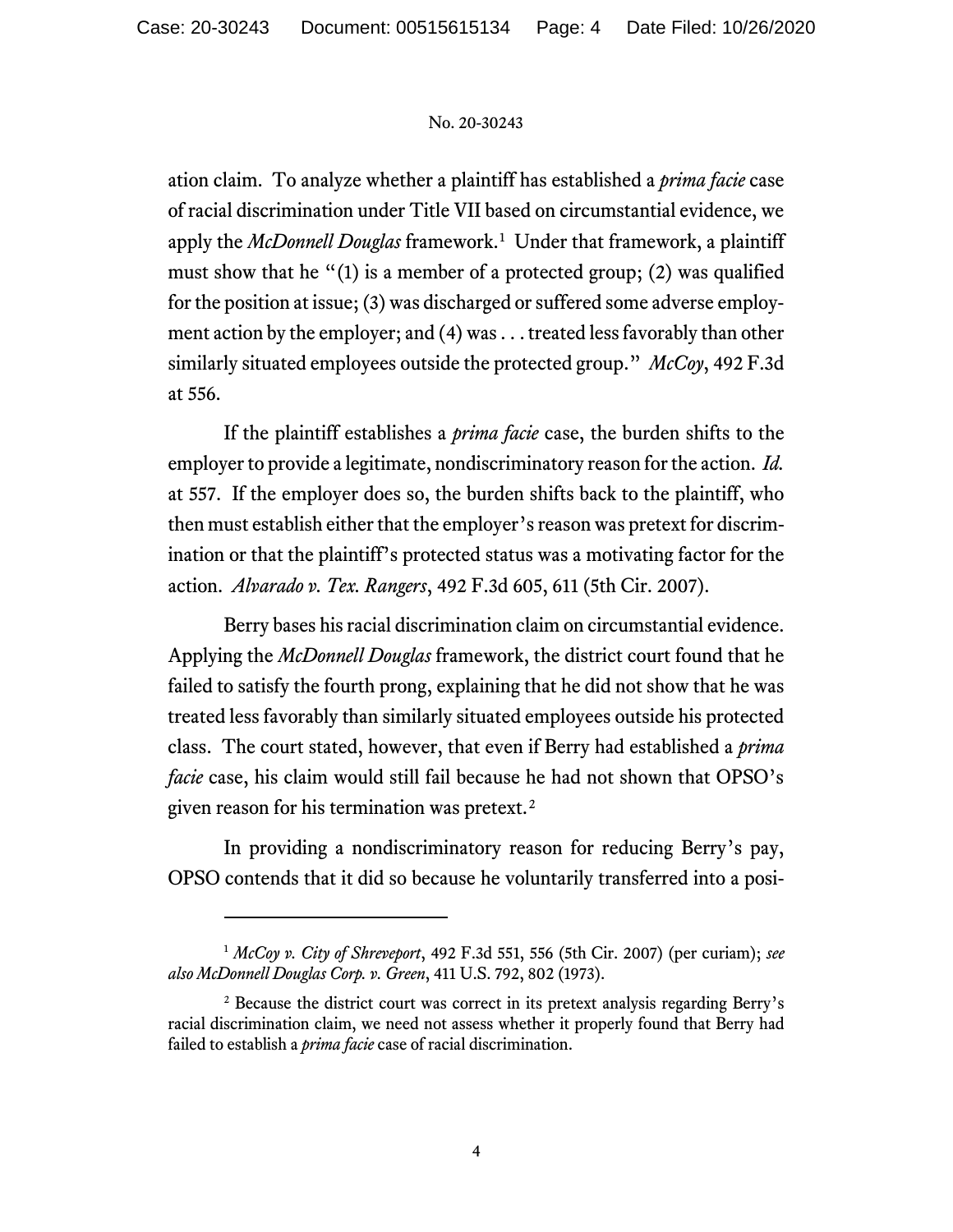ation claim. To analyze whether a plaintiff has established a *prima facie* case of racial discrimination under Title VII based on circumstantial evidence, we apply the *McDonnell Douglas* framework.<sup>[1](#page-3-0)</sup> Under that framework, a plaintiff must show that he "(1) is a member of a protected group; (2) was qualified for the position at issue; (3) was discharged or suffered some adverse employment action by the employer; and (4) was . . . treated less favorably than other similarly situated employees outside the protected group." *McCoy*, 492 F.3d at 556.

If the plaintiff establishes a *prima facie* case, the burden shifts to the employer to provide a legitimate, nondiscriminatory reason for the action. *Id.* at 557. If the employer does so, the burden shifts back to the plaintiff, who then must establish either that the employer's reason was pretext for discrimination or that the plaintiff's protected status was a motivating factor for the action. *Alvarado v. Tex. Rangers*, 492 F.3d 605, 611 (5th Cir. 2007).

Berry bases his racial discrimination claim on circumstantial evidence. Applying the *McDonnell Douglas* framework, the district court found that he failed to satisfy the fourth prong, explaining that he did not show that he was treated less favorably than similarly situated employees outside his protected class. The court stated, however, that even if Berry had established a *prima facie* case, his claim would still fail because he had not shown that OPSO's given reason for his termination was pretext.[2](#page-3-1)

In providing a nondiscriminatory reason for reducing Berry's pay, OPSO contends that it did so because he voluntarily transferred into a posi-

<span id="page-3-0"></span><sup>1</sup> *McCoy v. City of Shreveport*, 492 F.3d 551, 556 (5th Cir. 2007) (per curiam); *see also McDonnell Douglas Corp. v. Green*, 411 U.S. 792, 802 (1973).

<span id="page-3-1"></span><sup>2</sup> Because the district court was correct in its pretext analysis regarding Berry's racial discrimination claim, we need not assess whether it properly found that Berry had failed to establish a *prima facie* case of racial discrimination.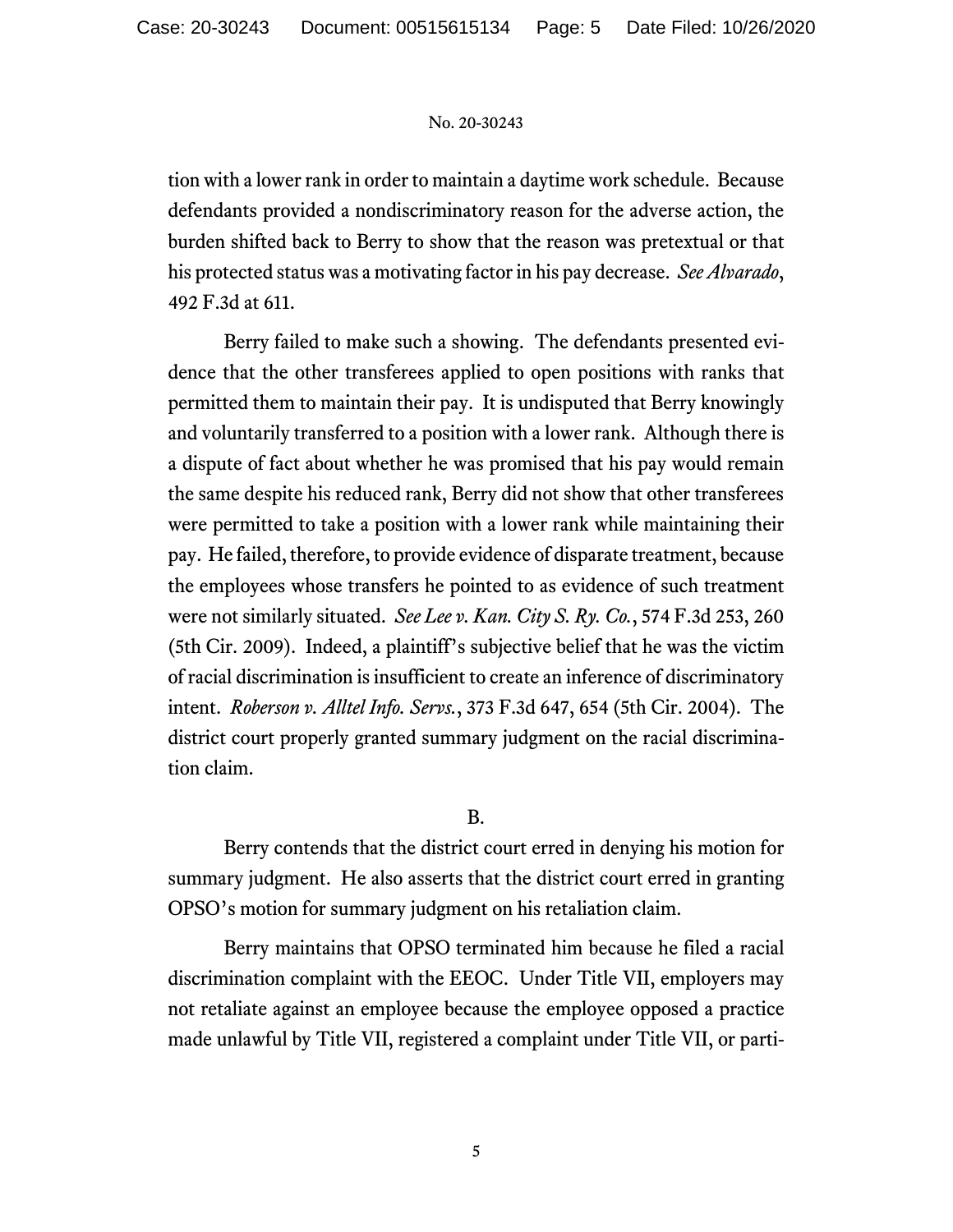tion with a lower rank in order to maintain a daytime work schedule. Because defendants provided a nondiscriminatory reason for the adverse action, the burden shifted back to Berry to show that the reason was pretextual or that his protected status was a motivating factor in his pay decrease. *See Alvarado*, 492 F.3d at 611.

Berry failed to make such a showing. The defendants presented evidence that the other transferees applied to open positions with ranks that permitted them to maintain their pay. It is undisputed that Berry knowingly and voluntarily transferred to a position with a lower rank. Although there is a dispute of fact about whether he was promised that his pay would remain the same despite his reduced rank, Berry did not show that other transferees were permitted to take a position with a lower rank while maintaining their pay. He failed, therefore, to provide evidence of disparate treatment, because the employees whose transfers he pointed to as evidence of such treatment were not similarly situated. *See Lee v. Kan. City S. Ry. Co.*, 574 F.3d 253, 260 (5th Cir. 2009). Indeed, a plaintiff's subjective belief that he was the victim of racial discrimination is insufficient to create an inference of discriminatory intent. *Roberson v. Alltel Info. Servs.*, 373 F.3d 647, 654 (5th Cir. 2004). The district court properly granted summary judgment on the racial discrimination claim.

# B.

Berry contends that the district court erred in denying his motion for summary judgment. He also asserts that the district court erred in granting OPSO's motion for summary judgment on his retaliation claim.

Berry maintains that OPSO terminated him because he filed a racial discrimination complaint with the EEOC. Under Title VII, employers may not retaliate against an employee because the employee opposed a practice made unlawful by Title VII, registered a complaint under Title VII, or parti-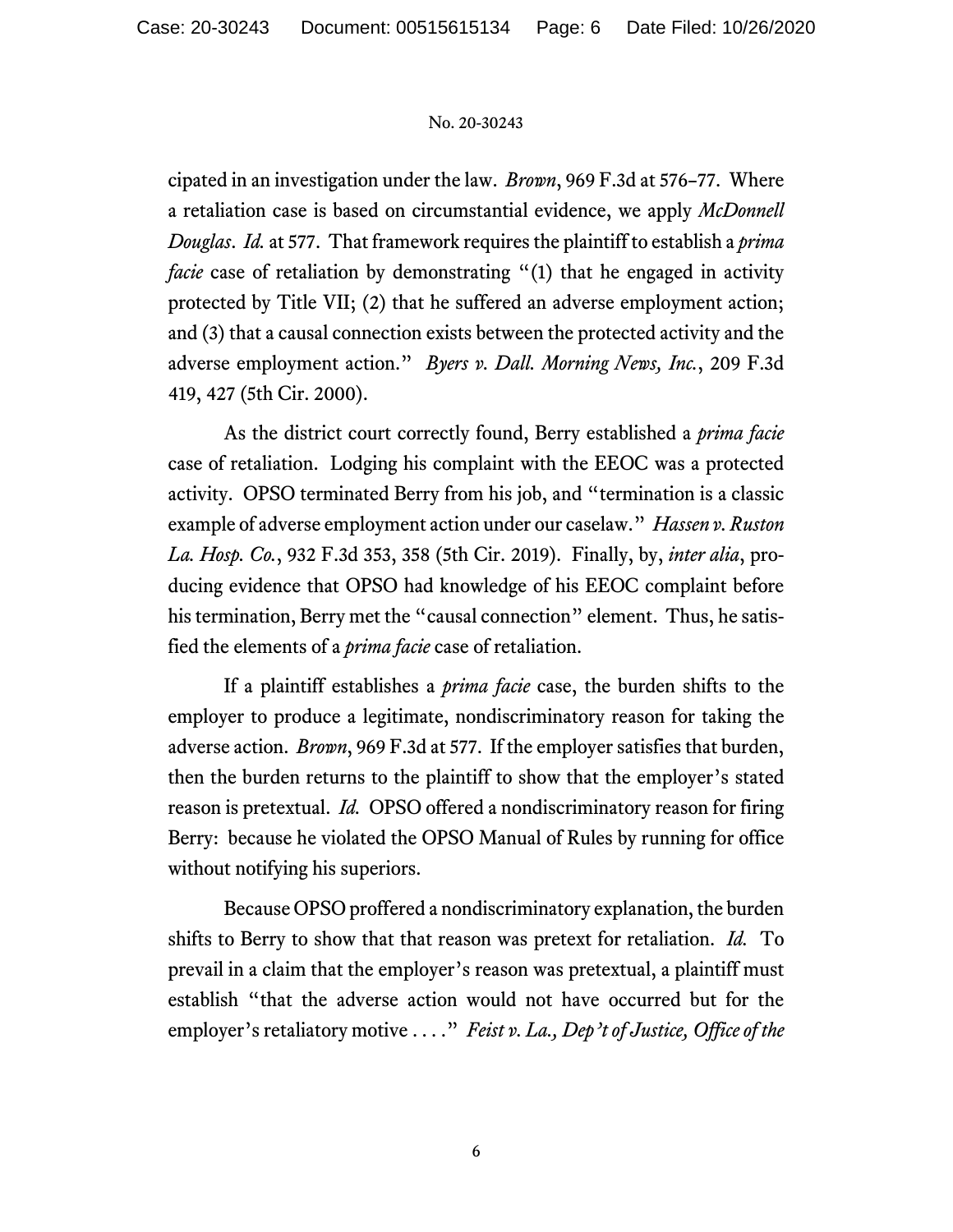cipated in an investigation under the law. *Brown*, 969 F.3d at 576–77. Where a retaliation case is based on circumstantial evidence, we apply *McDonnell Douglas*. *Id.* at 577. That framework requires the plaintiff to establish a *prima facie* case of retaliation by demonstrating "(1) that he engaged in activity protected by Title VII; (2) that he suffered an adverse employment action; and (3) that a causal connection exists between the protected activity and the adverse employment action." *Byers v. Dall. Morning News, Inc.*, 209 F.3d 419, 427 (5th Cir. 2000).

As the district court correctly found, Berry established a *prima facie* case of retaliation. Lodging his complaint with the EEOC was a protected activity. OPSO terminated Berry from his job, and "termination is a classic example of adverse employment action under our caselaw." *Hassen v. Ruston La. Hosp. Co.*, 932 F.3d 353, 358 (5th Cir. 2019). Finally, by, *inter alia*, producing evidence that OPSO had knowledge of his EEOC complaint before his termination, Berry met the "causal connection" element. Thus, he satisfied the elements of a *prima facie* case of retaliation.

If a plaintiff establishes a *prima facie* case, the burden shifts to the employer to produce a legitimate, nondiscriminatory reason for taking the adverse action. *Brown*, 969 F.3d at 577. If the employer satisfies that burden, then the burden returns to the plaintiff to show that the employer's stated reason is pretextual. *Id.* OPSO offered a nondiscriminatory reason for firing Berry: because he violated the OPSO Manual of Rules by running for office without notifying his superiors.

Because OPSO proffered a nondiscriminatory explanation, the burden shifts to Berry to show that that reason was pretext for retaliation. *Id.* To prevail in a claim that the employer's reason was pretextual, a plaintiff must establish "that the adverse action would not have occurred but for the employer's retaliatory motive . . . ." *Feist v. La., Dep't of Justice, Office of the*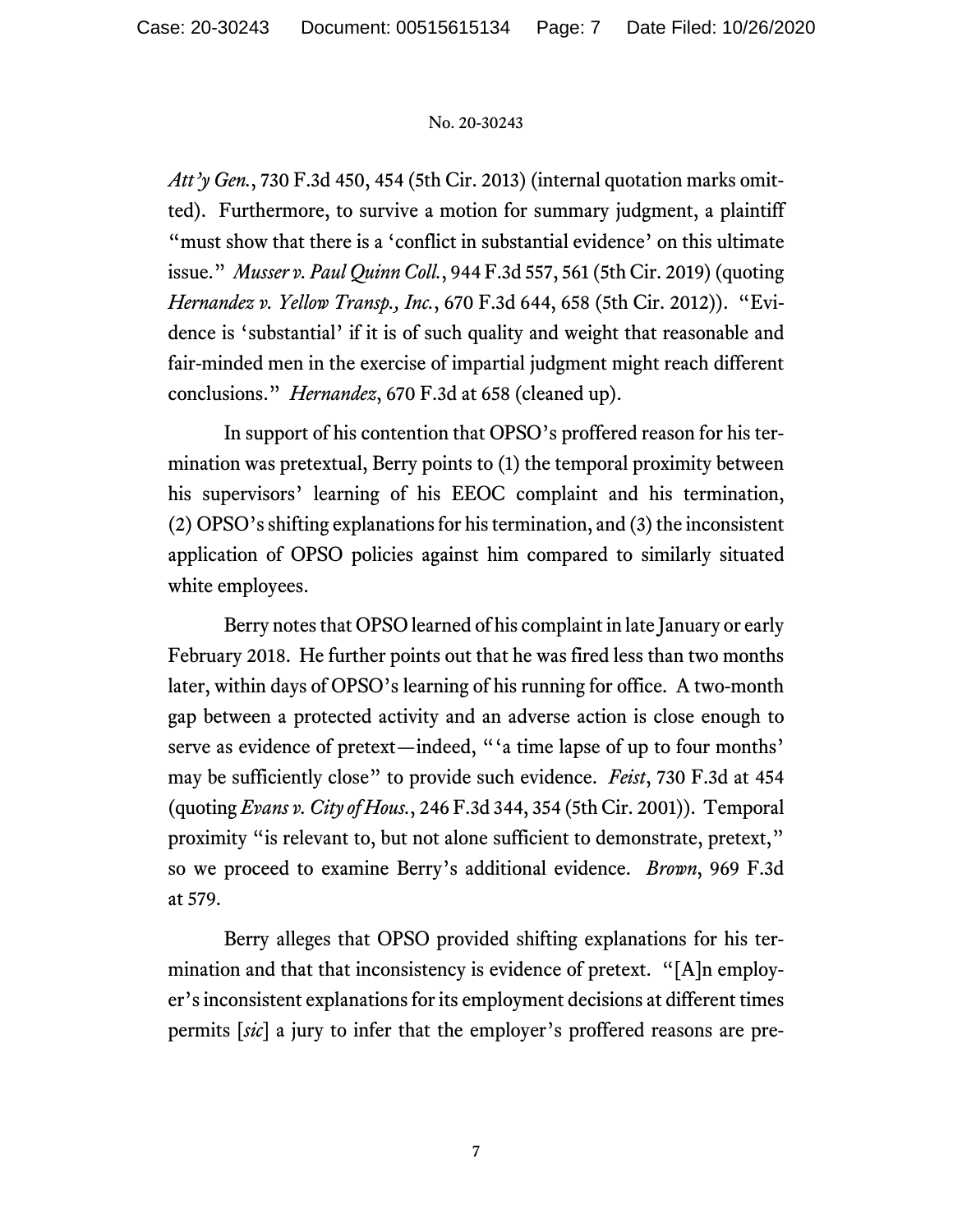*Att'y Gen.*, 730 F.3d 450, 454 (5th Cir. 2013) (internal quotation marks omitted). Furthermore, to survive a motion for summary judgment, a plaintiff "must show that there is a 'conflict in substantial evidence' on this ultimate issue." *Musser v. Paul Quinn Coll.*, 944 F.3d 557, 561 (5th Cir. 2019) (quoting *Hernandez v. Yellow Transp., Inc.*, 670 F.3d 644, 658 (5th Cir. 2012)). "Evidence is 'substantial' if it is of such quality and weight that reasonable and fair-minded men in the exercise of impartial judgment might reach different conclusions." *Hernandez*, 670 F.3d at 658 (cleaned up).

In support of his contention that OPSO's proffered reason for his termination was pretextual, Berry points to (1) the temporal proximity between his supervisors' learning of his EEOC complaint and his termination, (2) OPSO's shifting explanations for his termination, and (3) the inconsistent application of OPSO policies against him compared to similarly situated white employees.

Berry notes that OPSO learned of his complaint in late January or early February 2018. He further points out that he was fired less than two months later, within days of OPSO's learning of his running for office. A two-month gap between a protected activity and an adverse action is close enough to serve as evidence of pretext—indeed, "'a time lapse of up to four months' may be sufficiently close" to provide such evidence. *Feist*, 730 F.3d at 454 (quoting *Evans v. City of Hous.*, 246 F.3d 344, 354 (5th Cir. 2001)). Temporal proximity "is relevant to, but not alone sufficient to demonstrate, pretext," so we proceed to examine Berry's additional evidence. *Brown*, 969 F.3d at 579.

Berry alleges that OPSO provided shifting explanations for his termination and that that inconsistency is evidence of pretext. "[A]n employer's inconsistent explanations for its employment decisions at different times permits [*sic*] a jury to infer that the employer's proffered reasons are pre-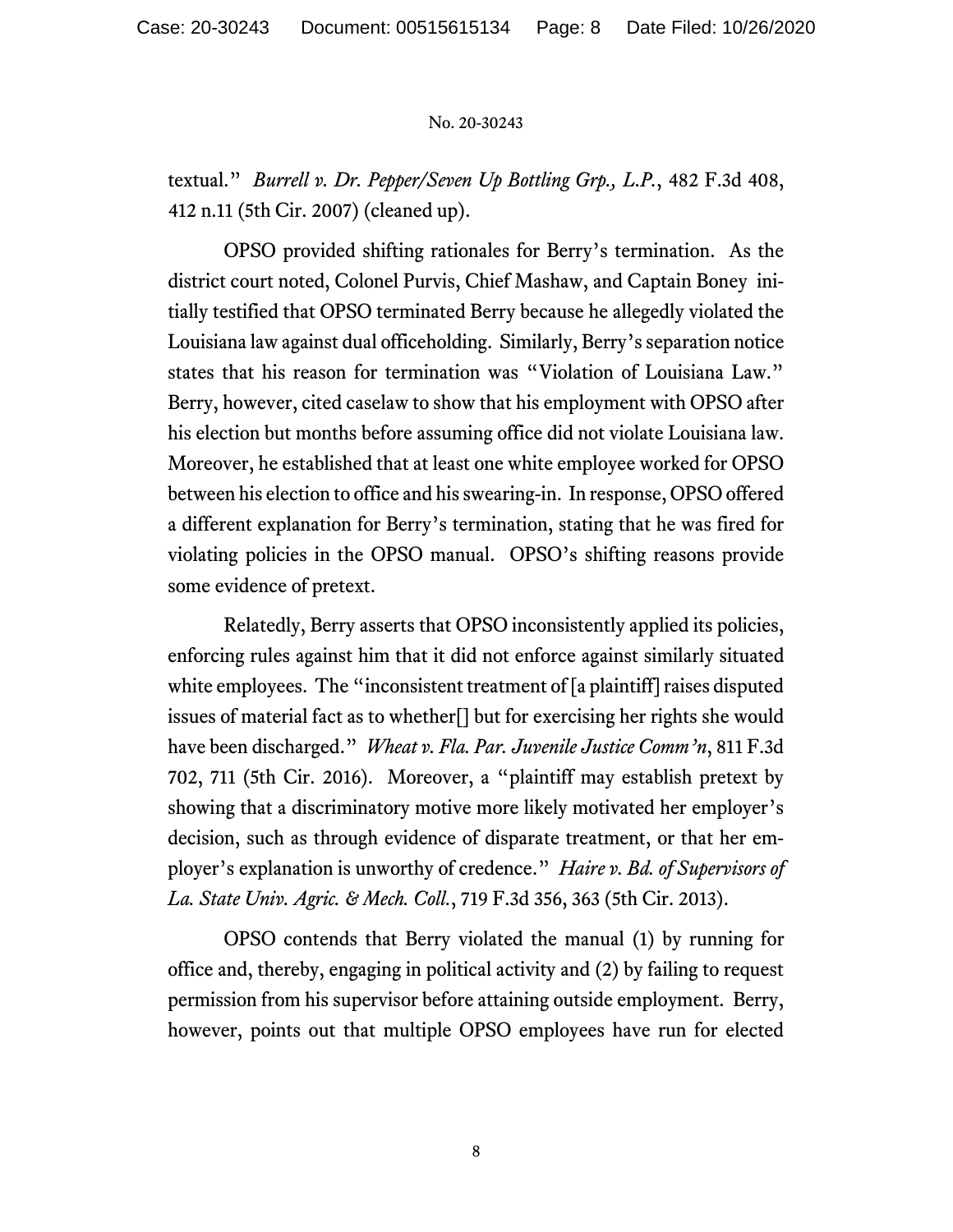textual." *Burrell v. Dr. Pepper/Seven Up Bottling Grp., L.P.*, 482 F.3d 408, 412 n.11 (5th Cir. 2007) (cleaned up).

OPSO provided shifting rationales for Berry's termination. As the district court noted, Colonel Purvis, Chief Mashaw, and Captain Boney initially testified that OPSO terminated Berry because he allegedly violated the Louisiana law against dual officeholding. Similarly, Berry's separation notice states that his reason for termination was "Violation of Louisiana Law." Berry, however, cited caselaw to show that his employment with OPSO after his election but months before assuming office did not violate Louisiana law. Moreover, he established that at least one white employee worked for OPSO between his election to office and his swearing-in. In response, OPSO offered a different explanation for Berry's termination, stating that he was fired for violating policies in the OPSO manual. OPSO's shifting reasons provide some evidence of pretext.

Relatedly, Berry asserts that OPSO inconsistently applied its policies, enforcing rules against him that it did not enforce against similarly situated white employees. The "inconsistent treatment of [a plaintiff] raises disputed issues of material fact as to whether[] but for exercising her rights she would have been discharged." *Wheat v. Fla. Par. Juvenile Justice Comm'n*, 811 F.3d 702, 711 (5th Cir. 2016). Moreover, a "plaintiff may establish pretext by showing that a discriminatory motive more likely motivated her employer's decision, such as through evidence of disparate treatment, or that her employer's explanation is unworthy of credence." *Haire v. Bd. of Supervisors of La. State Univ. Agric. & Mech. Coll.*, 719 F.3d 356, 363 (5th Cir. 2013).

OPSO contends that Berry violated the manual (1) by running for office and, thereby, engaging in political activity and (2) by failing to request permission from his supervisor before attaining outside employment. Berry, however, points out that multiple OPSO employees have run for elected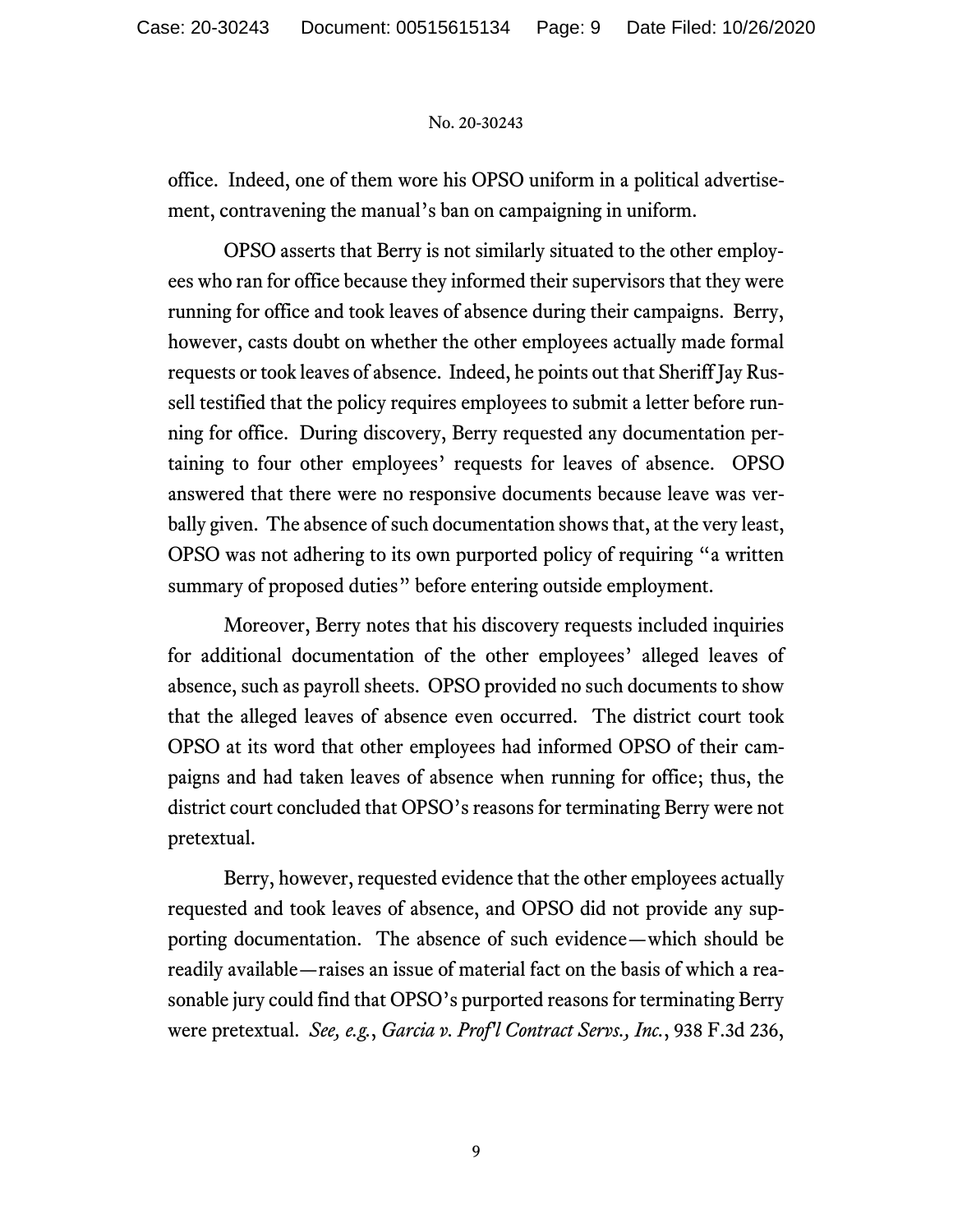office. Indeed, one of them wore his OPSO uniform in a political advertisement, contravening the manual's ban on campaigning in uniform.

OPSO asserts that Berry is not similarly situated to the other employees who ran for office because they informed their supervisors that they were running for office and took leaves of absence during their campaigns. Berry, however, casts doubt on whether the other employees actually made formal requests or took leaves of absence. Indeed, he points out that Sheriff Jay Russell testified that the policy requires employees to submit a letter before running for office. During discovery, Berry requested any documentation pertaining to four other employees' requests for leaves of absence. OPSO answered that there were no responsive documents because leave was verbally given. The absence of such documentation shows that, at the very least, OPSO was not adhering to its own purported policy of requiring "a written summary of proposed duties" before entering outside employment.

Moreover, Berry notes that his discovery requests included inquiries for additional documentation of the other employees' alleged leaves of absence, such as payroll sheets. OPSO provided no such documents to show that the alleged leaves of absence even occurred. The district court took OPSO at its word that other employees had informed OPSO of their campaigns and had taken leaves of absence when running for office; thus, the district court concluded that OPSO's reasons for terminating Berry were not pretextual.

Berry, however, requested evidence that the other employees actually requested and took leaves of absence, and OPSO did not provide any supporting documentation. The absence of such evidence—which should be readily available—raises an issue of material fact on the basis of which a reasonable jury could find that OPSO's purported reasons for terminating Berry were pretextual. *See, e.g.*, *Garcia v. Prof'l Contract Servs., Inc.*, 938 F.3d 236,